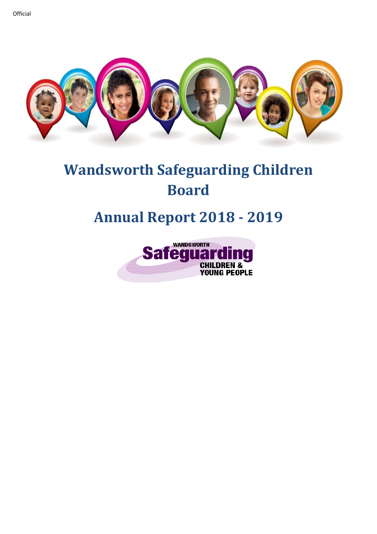

# **Wandsworth Safeguarding Children Board**

## **Annual Report 2018 - 2019**

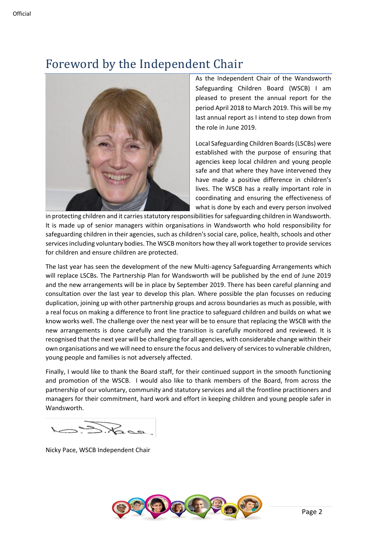## Foreword by the Independent Chair



As the Independent Chair of the Wandsworth Safeguarding Children Board (WSCB) I am pleased to present the annual report for the period April 2018 to March 2019. This will be my last annual report as I intend to step down from the role in June 2019.

Local Safeguarding Children Boards(LSCBs) were established with the purpose of ensuring that agencies keep local children and young people safe and that where they have intervened they have made a positive difference in children's lives. The WSCB has a really important role in coordinating and ensuring the effectiveness of what is done by each and every person involved

in protecting children and it carries statutory responsibilities for safeguarding children in Wandsworth. It is made up of senior managers within organisations in Wandsworth who hold responsibility for safeguarding children in their agencies, such as children's social care, police, health, schools and other services including voluntary bodies. The WSCB monitors how they all work together to provide services for children and ensure children are protected.

The last year has seen the development of the new Multi-agency Safeguarding Arrangements which will replace LSCBs. The Partnership Plan for Wandsworth will be published by the end of June 2019 and the new arrangements will be in place by September 2019. There has been careful planning and consultation over the last year to develop this plan. Where possible the plan focusses on reducing duplication, joining up with other partnership groups and across boundaries as much as possible, with a real focus on making a difference to front line practice to safeguard children and builds on what we know works well. The challenge over the next year will be to ensure that replacing the WSCB with the new arrangements is done carefully and the transition is carefully monitored and reviewed. It is recognised that the next year will be challenging for all agencies, with considerable change within their own organisations and we will need to ensure the focus and delivery of services to vulnerable children, young people and families is not adversely affected.

Finally, I would like to thank the Board staff, for their continued support in the smooth functioning and promotion of the WSCB. I would also like to thank members of the Board, from across the partnership of our voluntary, community and statutory services and all the frontline practitioners and managers for their commitment, hard work and effort in keeping children and young people safer in Wandsworth.

Nicky Pace, WSCB Independent Chair

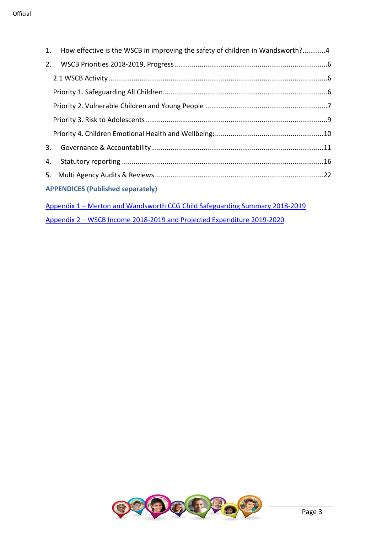| 1.                                                                                                                                                    | How effective is the WSCB in improving the safety of children in Wandsworth?4 |  |  |  |
|-------------------------------------------------------------------------------------------------------------------------------------------------------|-------------------------------------------------------------------------------|--|--|--|
| 2.                                                                                                                                                    |                                                                               |  |  |  |
|                                                                                                                                                       |                                                                               |  |  |  |
|                                                                                                                                                       |                                                                               |  |  |  |
|                                                                                                                                                       |                                                                               |  |  |  |
|                                                                                                                                                       |                                                                               |  |  |  |
|                                                                                                                                                       |                                                                               |  |  |  |
| 3.                                                                                                                                                    |                                                                               |  |  |  |
| 4.                                                                                                                                                    |                                                                               |  |  |  |
|                                                                                                                                                       |                                                                               |  |  |  |
| <b>APPENDICES (Published separately)</b>                                                                                                              |                                                                               |  |  |  |
| Appendix 1 - Merton and Wandsworth CCG Child Safeguarding Summary 2018-2019<br>Appendix 2 - WSCB Income 2018-2019 and Projected Expenditure 2019-2020 |                                                                               |  |  |  |

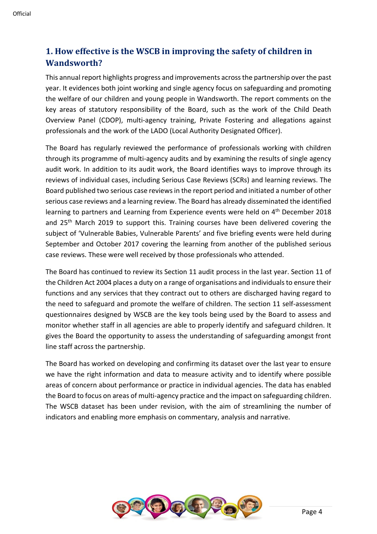## **1. How effective is the WSCB in improving the safety of children in Wandsworth?**

This annual report highlights progress and improvements across the partnership over the past year. It evidences both joint working and single agency focus on safeguarding and promoting the welfare of our children and young people in Wandsworth. The report comments on the key areas of statutory responsibility of the Board, such as the work of the Child Death Overview Panel (CDOP), multi-agency training, Private Fostering and allegations against professionals and the work of the LADO (Local Authority Designated Officer).

The Board has regularly reviewed the performance of professionals working with children through its programme of multi-agency audits and by examining the results of single agency audit work. In addition to its audit work, the Board identifies ways to improve through its reviews of individual cases, including Serious Case Reviews (SCRs) and learning reviews. The Board published two serious case reviewsin the report period and initiated a number of other serious case reviews and a learning review. The Board has already disseminated the identified learning to partners and Learning from Experience events were held on 4<sup>th</sup> December 2018 and 25<sup>th</sup> March 2019 to support this. Training courses have been delivered covering the subject of 'Vulnerable Babies, Vulnerable Parents' and five briefing events were held during September and October 2017 covering the learning from another of the published serious case reviews. These were well received by those professionals who attended.

The Board has continued to review its Section 11 audit process in the last year. Section 11 of the Children Act 2004 places a duty on a range of organisations and individuals to ensure their functions and any services that they contract out to others are discharged having regard to the need to safeguard and promote the welfare of children. The section 11 self-assessment questionnaires designed by WSCB are the key tools being used by the Board to assess and monitor whether staff in all agencies are able to properly identify and safeguard children. It gives the Board the opportunity to assess the understanding of safeguarding amongst front line staff across the partnership.

The Board has worked on developing and confirming its dataset over the last year to ensure we have the right information and data to measure activity and to identify where possible areas of concern about performance or practice in individual agencies. The data has enabled the Board to focus on areas of multi-agency practice and the impact on safeguarding children. The WSCB dataset has been under revision, with the aim of streamlining the number of indicators and enabling more emphasis on commentary, analysis and narrative.

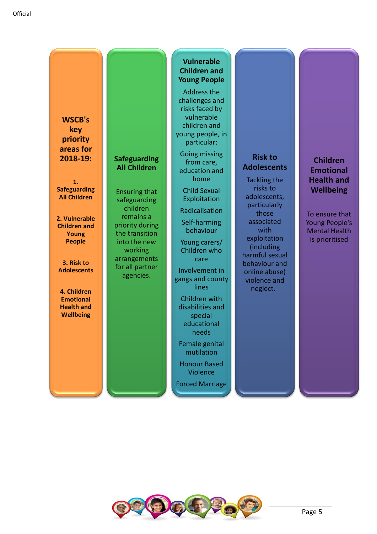**WSCB's key priority areas for 2018-19:**

**Safeguarding All Children** 

Ensuring that safeguarding children remains a priority during the transition into the new working arrangements for all partner agencies.

**1. Safeguarding All Children** 

**2. Vulnerable Children and Young People**

**3. Risk to Adolescents**

**4. Children Emotional Health and Wellbeing** 

## **Vulnerable Children and Young People**

Address the challenges and risks faced by vulnerable children and young people, in particular:

Going missing from care, education and home

Child Sexual **Exploitation** 

Radicalisation

Self-harming behaviour

Young carers/ Children who care

Involvement in gangs and county lines

Children with disabilities and special educational needs

Female genital mutilation

Honour Based Violence

Forced Marriage

## **Risk to Adolescents**

Tackling the risks to adolescents, particularly those associated with exploitation (including harmful sexual behaviour and online abuse) violence and neglect.

## **Children Emotional Health and Wellbeing**

To ensure that Young People's Mental Health is prioritised

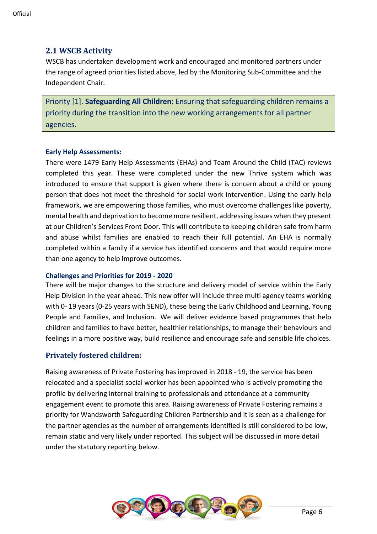## **2.1 WSCB Activity**

WSCB has undertaken development work and encouraged and monitored partners under the range of agreed priorities listed above, led by the Monitoring Sub-Committee and the Independent Chair.

Priority [1]. **Safeguarding All Children**: Ensuring that safeguarding children remains a priority during the transition into the new working arrangements for all partner agencies.

#### **Early Help Assessments:**

There were 1479 Early Help Assessments (EHAs) and Team Around the Child (TAC) reviews completed this year. These were completed under the new Thrive system which was introduced to ensure that support is given where there is concern about a child or young person that does not meet the threshold for social work intervention. Using the early help framework, we are empowering those families, who must overcome challenges like poverty, mental health and deprivation to become more resilient, addressing issues when they present at our Children's Services Front Door. This will contribute to keeping children safe from harm and abuse whilst families are enabled to reach their full potential. An EHA is normally completed within a family if a service has identified concerns and that would require more than one agency to help improve outcomes.

#### **Challenges and Priorities for 2019 - 2020**

There will be major changes to the structure and delivery model of service within the Early Help Division in the year ahead. This new offer will include three multi agency teams working with 0- 19 years (0-25 years with SEND), these being the Early Childhood and Learning, Young People and Families, and Inclusion. We will deliver evidence based programmes that help children and families to have better, healthier relationships, to manage their behaviours and feelings in a more positive way, build resilience and encourage safe and sensible life choices.

### **Privately fostered children:**

Raising awareness of Private Fostering has improved in 2018 - 19, the service has been relocated and a specialist social worker has been appointed who is actively promoting the profile by delivering internal training to professionals and attendance at a community engagement event to promote this area. Raising awareness of Private Fostering remains a priority for Wandsworth Safeguarding Children Partnership and it is seen as a challenge for the partner agencies as the number of arrangements identified is still considered to be low, remain static and very likely under reported. This subject will be discussed in more detail under the statutory reporting below.

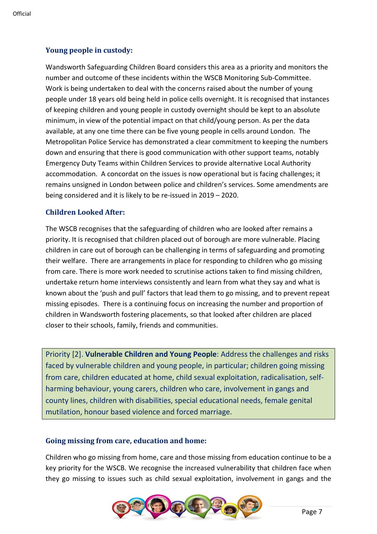## **Young people in custody:**

Wandsworth Safeguarding Children Board considers this area as a priority and monitors the number and outcome of these incidents within the WSCB Monitoring Sub-Committee. Work is being undertaken to deal with the concerns raised about the number of young people under 18 years old being held in police cells overnight. It is recognised that instances of keeping children and young people in custody overnight should be kept to an absolute minimum, in view of the potential impact on that child/young person. As per the data available, at any one time there can be five young people in cells around London. The Metropolitan Police Service has demonstrated a clear commitment to keeping the numbers down and ensuring that there is good communication with other support teams, notably Emergency Duty Teams within Children Services to provide alternative Local Authority accommodation. A concordat on the issues is now operational but is facing challenges; it remains unsigned in London between police and children's services. Some amendments are being considered and it is likely to be re-issued in 2019 – 2020.

## **Children Looked After:**

The WSCB recognises that the safeguarding of children who are looked after remains a priority. It is recognised that children placed out of borough are more vulnerable. Placing children in care out of borough can be challenging in terms of safeguarding and promoting their welfare. There are arrangements in place for responding to children who go missing from care. There is more work needed to scrutinise actions taken to find missing children, undertake return home interviews consistently and learn from what they say and what is known about the 'push and pull' factors that lead them to go missing, and to prevent repeat missing episodes. There is a continuing focus on increasing the number and proportion of children in Wandsworth fostering placements, so that looked after children are placed closer to their schools, family, friends and communities.

Priority [2]. **Vulnerable Children and Young People**: Address the challenges and risks faced by vulnerable children and young people, in particular; children going missing from care, children educated at home, child sexual exploitation, radicalisation, selfharming behaviour, young carers, children who care, involvement in gangs and county lines, children with disabilities, special educational needs, female genital mutilation, honour based violence and forced marriage.

## **Going missing from care, education and home:**

Children who go missing from home, care and those missing from education continue to be a key priority for the WSCB. We recognise the increased vulnerability that children face when they go missing to issues such as child sexual exploitation, involvement in gangs and the

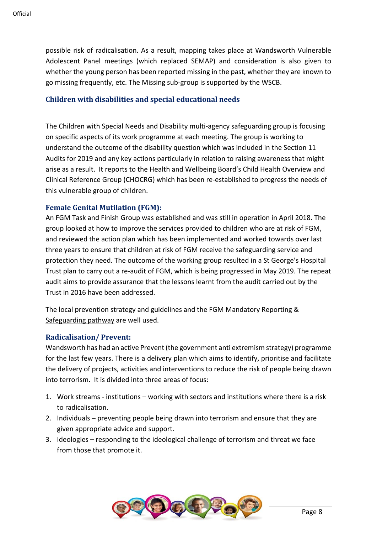possible risk of radicalisation. As a result, mapping takes place at Wandsworth Vulnerable Adolescent Panel meetings (which replaced SEMAP) and consideration is also given to whether the young person has been reported missing in the past, whether they are known to go missing frequently, etc. The Missing sub-group is supported by the WSCB.

## **Children with disabilities and special educational needs**

The Children with Special Needs and Disability multi-agency safeguarding group is focusing on specific aspects of its work programme at each meeting. The group is working to understand the outcome of the disability question which was included in the Section 11 Audits for 2019 and any key actions particularly in relation to raising awareness that might arise as a result. It reports to the Health and Wellbeing Board's Child Health Overview and Clinical Reference Group (CHOCRG) which has been re-established to progress the needs of this vulnerable group of children.

## **Female Genital Mutilation (FGM):**

An FGM Task and Finish Group was established and was still in operation in April 2018. The group looked at how to improve the services provided to children who are at risk of FGM, and reviewed the action plan which has been implemented and worked towards over last three years to ensure that children at risk of FGM receive the safeguarding service and protection they need. The outcome of the working group resulted in a St George's Hospital Trust plan to carry out a re-audit of FGM, which is being progressed in May 2019. The repeat audit aims to provide assurance that the lessons learnt from the audit carried out by the Trust in 2016 have been addressed.

The local prevention strategy and guidelines and the [FGM Mandatory Reporting &](https://search3.openobjects.com/mediamanager/wandsworth/fsd/docs/fgm_pathways_1.pdf)  [Safeguarding pathway](https://search3.openobjects.com/mediamanager/wandsworth/fsd/docs/fgm_pathways_1.pdf) are well used.

### **Radicalisation/ Prevent:**

Wandsworth has had an active Prevent (the government anti extremism strategy) programme for the last few years. There is a delivery plan which aims to identify, prioritise and facilitate the delivery of projects, activities and interventions to reduce the risk of people being drawn into terrorism. It is divided into three areas of focus:

- 1. Work streams institutions working with sectors and institutions where there is a risk to radicalisation.
- 2. Individuals preventing people being drawn into terrorism and ensure that they are given appropriate advice and support.
- 3. Ideologies responding to the ideological challenge of terrorism and threat we face from those that promote it.

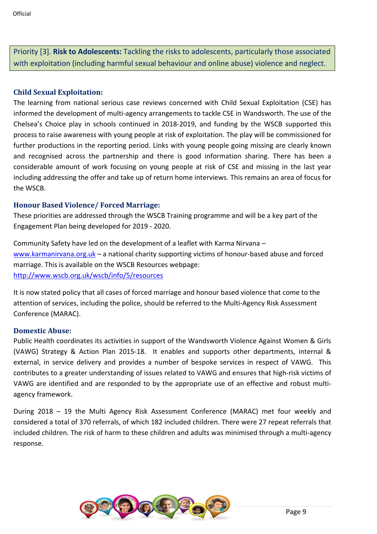Priority [3]. **Risk to Adolescents:** Tackling the risks to adolescents, particularly those associated with exploitation (including harmful sexual behaviour and online abuse) violence and neglect.

## **Child Sexual Exploitation:**

The learning from national serious case reviews concerned with Child Sexual Exploitation (CSE) has informed the development of multi-agency arrangements to tackle CSE in Wandsworth. The use of the Chelsea's Choice play in schools continued in 2018-2019, and funding by the WSCB supported this process to raise awareness with young people at risk of exploitation. The play will be commissioned for further productions in the reporting period. Links with young people going missing are clearly known and recognised across the partnership and there is good information sharing. There has been a considerable amount of work focusing on young people at risk of CSE and missing in the last year including addressing the offer and take up of return home interviews. This remains an area of focus for the WSCB.

## **Honour Based Violence/ Forced Marriage:**

These priorities are addressed through the WSCB Training programme and will be a key part of the Engagement Plan being developed for 2019 - 2020.

Community Safety have led on the development of a leaflet with Karma Nirvana – [www.karmanirvana.org.uk](http://www.karmanirvana.org.uk/) – a national charity supporting victims of honour-based abuse and forced marriage. This is available on the WSCB Resources webpage: <http://www.wscb.org.uk/wscb/info/5/resources>

It is now stated policy that all cases of forced marriage and honour based violence that come to the attention of services, including the police, should be referred to the Multi-Agency Risk Assessment Conference (MARAC).

### **Domestic Abuse:**

Public Health coordinates its activities in support of the Wandsworth Violence Against Women & Girls (VAWG) Strategy & Action Plan 2015-18. It enables and supports other departments, internal & external, in service delivery and provides a number of bespoke services in respect of VAWG. This contributes to a greater understanding of issues related to VAWG and ensures that high-risk victims of VAWG are identified and are responded to by the appropriate use of an effective and robust multiagency framework.

During 2018 – 19 the Multi Agency Risk Assessment Conference (MARAC) met four weekly and considered a total of 370 referrals, of which 182 included children. There were 27 repeat referrals that included children. The risk of harm to these children and adults was minimised through a multi-agency response.

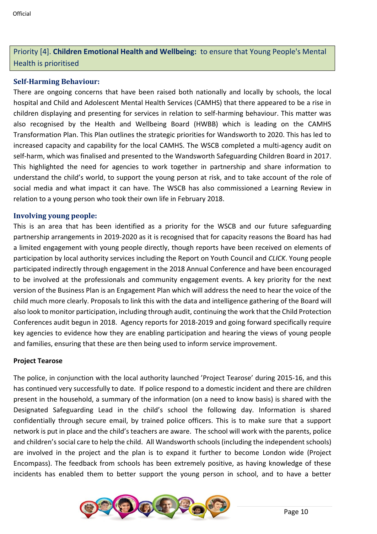## Priority [4]. **Children Emotional Health and Wellbeing:** to ensure that Young People's Mental Health is prioritised

## **Self-Harming Behaviour:**

There are ongoing concerns that have been raised both nationally and locally by schools, the local hospital and Child and Adolescent Mental Health Services (CAMHS) that there appeared to be a rise in children displaying and presenting for services in relation to self-harming behaviour. This matter was also recognised by the Health and Wellbeing Board (HWBB) which is leading on the CAMHS Transformation Plan. This Plan outlines the strategic priorities for Wandsworth to 2020. This has led to increased capacity and capability for the local CAMHS. The WSCB completed a multi-agency audit on self-harm, which was finalised and presented to the Wandsworth Safeguarding Children Board in 2017. This highlighted the need for agencies to work together in partnership and share information to understand the child's world, to support the young person at risk, and to take account of the role of social media and what impact it can have. The WSCB has also commissioned a Learning Review in relation to a young person who took their own life in February 2018.

#### **Involving young people:**

This is an area that has been identified as a priority for the WSCB and our future safeguarding partnership arrangements in 2019-2020 as it is recognised that for capacity reasons the Board has had a limited engagement with young people directly, though reports have been received on elements of participation by local authority services including the Report on Youth Council and *CLICK*. Young people participated indirectly through engagement in the 2018 Annual Conference and have been encouraged to be involved at the professionals and community engagement events. A key priority for the next version of the Business Plan is an Engagement Plan which will address the need to hear the voice of the child much more clearly. Proposals to link this with the data and intelligence gathering of the Board will also look to monitor participation, including through audit, continuing the work that the Child Protection Conferences audit begun in 2018. Agency reports for 2018-2019 and going forward specifically require key agencies to evidence how they are enabling participation and hearing the views of young people and families, ensuring that these are then being used to inform service improvement.

#### **Project Tearose**

The police, in conjunction with the local authority launched 'Project Tearose' during 2015-16, and this has continued very successfully to date. If police respond to a domestic incident and there are children present in the household, a summary of the information (on a need to know basis) is shared with the Designated Safeguarding Lead in the child's school the following day. Information is shared confidentially through secure email, by trained police officers. This is to make sure that a support network is put in place and the child's teachers are aware. The school will work with the parents, police and children's social care to help the child. All Wandsworth schools (including the independent schools) are involved in the project and the plan is to expand it further to become London wide (Project Encompass). The feedback from schools has been extremely positive, as having knowledge of these incidents has enabled them to better support the young person in school, and to have a better

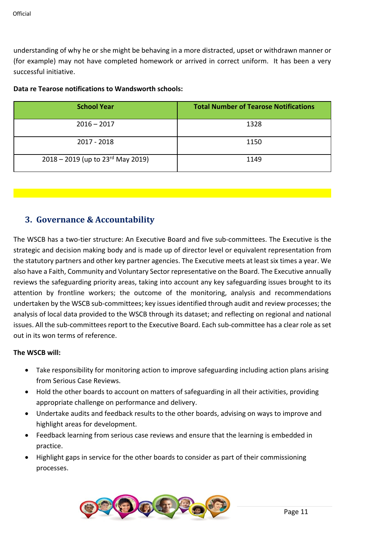understanding of why he or she might be behaving in a more distracted, upset or withdrawn manner or (for example) may not have completed homework or arrived in correct uniform. It has been a very successful initiative.

|  | Data re Tearose notifications to Wandsworth schools: |  |  |
|--|------------------------------------------------------|--|--|
|--|------------------------------------------------------|--|--|

| <b>School Year</b>                              | <b>Total Number of Tearose Notifications</b> |
|-------------------------------------------------|----------------------------------------------|
| $2016 - 2017$                                   | 1328                                         |
| 2017 - 2018                                     | 1150                                         |
| $2018 - 2019$ (up to $23^{\text{rd}}$ May 2019) | 1149                                         |

## **3. Governance & Accountability**

The WSCB has a two-tier structure: An Executive Board and five sub-committees. The Executive is the strategic and decision making body and is made up of director level or equivalent representation from the statutory partners and other key partner agencies. The Executive meets at least six times a year. We also have a Faith, Community and Voluntary Sector representative on the Board. The Executive annually reviews the safeguarding priority areas, taking into account any key safeguarding issues brought to its attention by frontline workers; the outcome of the monitoring, analysis and recommendations undertaken by the WSCB sub-committees; key issues identified through audit and review processes; the analysis of local data provided to the WSCB through its dataset; and reflecting on regional and national issues. All the sub-committees report to the Executive Board. Each sub-committee has a clear role as set out in its won terms of reference.

### **The WSCB will:**

- Take responsibility for monitoring action to improve safeguarding including action plans arising from Serious Case Reviews.
- Hold the other boards to account on matters of safeguarding in all their activities, providing appropriate challenge on performance and delivery.
- Undertake audits and feedback results to the other boards, advising on ways to improve and highlight areas for development.
- Feedback learning from serious case reviews and ensure that the learning is embedded in practice.
- Highlight gaps in service for the other boards to consider as part of their commissioning processes.

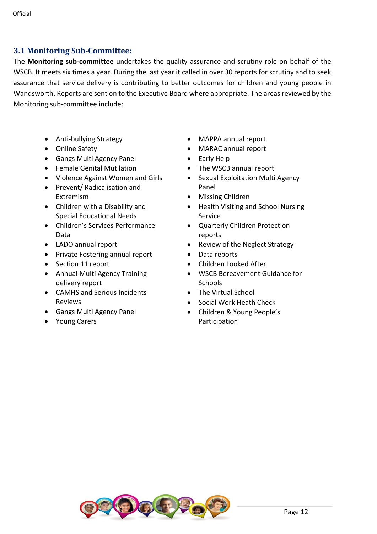## **3.1 Monitoring Sub-Committee:**

The **Monitoring sub-committee** undertakes the quality assurance and scrutiny role on behalf of the WSCB. It meets six times a year. During the last year it called in over 30 reports for scrutiny and to seek assurance that service delivery is contributing to better outcomes for children and young people in Wandsworth. Reports are sent on to the Executive Board where appropriate. The areas reviewed by the Monitoring sub-committee include:

- Anti-bullying Strategy
- Online Safety
- Gangs Multi Agency Panel
- Female Genital Mutilation
- Violence Against Women and Girls
- Prevent/ Radicalisation and Extremism
- Children with a Disability and Special Educational Needs
- Children's Services Performance Data
- LADO annual report
- Private Fostering annual report
- Section 11 report
- Annual Multi Agency Training delivery report
- CAMHS and Serious Incidents Reviews
- Gangs Multi Agency Panel
- Young Carers
- MAPPA annual report
- MARAC annual report
- Early Help
- The WSCB annual report
- Sexual Exploitation Multi Agency Panel
- Missing Children
- Health Visiting and School Nursing Service
- Quarterly Children Protection reports
- Review of the Neglect Strategy
- Data reports
- Children Looked After
- WSCB Bereavement Guidance for **Schools**
- The Virtual School
- Social Work Heath Check
- Children & Young People's Participation

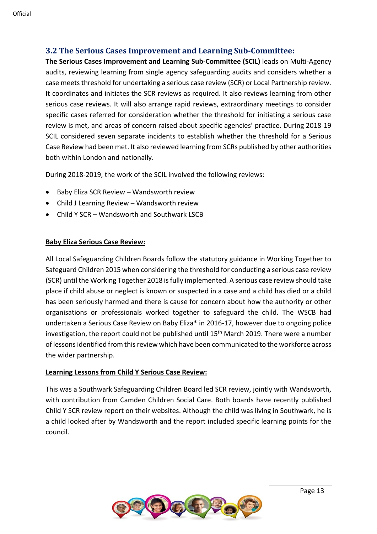**3.2 The Serious Cases Improvement and Learning Sub-Committee:**

**The Serious Cases Improvement and Learning Sub-Committee (SCIL)** leads on Multi-Agency audits, reviewing learning from single agency safeguarding audits and considers whether a case meets threshold for undertaking a serious case review (SCR) or Local Partnership review. It coordinates and initiates the SCR reviews as required. It also reviews learning from other serious case reviews. It will also arrange rapid reviews, extraordinary meetings to consider specific cases referred for consideration whether the threshold for initiating a serious case review is met, and areas of concern raised about specific agencies' practice. During 2018-19 SCIL considered seven separate incidents to establish whether the threshold for a Serious Case Review had been met. It also reviewed learning from SCRs published by other authorities both within London and nationally.

During 2018-2019, the work of the SCIL involved the following reviews:

- Baby Eliza SCR Review Wandsworth review
- Child J Learning Review Wandsworth review
- Child Y SCR Wandsworth and Southwark LSCB

## **Baby Eliza Serious Case Review:**

All Local Safeguarding Children Boards follow the statutory guidance in Working Together to Safeguard Children 2015 when considering the threshold for conducting a serious case review (SCR) until the Working Together 2018 is fully implemented. A serious case review should take place if child abuse or neglect is known or suspected in a case and a child has died or a child has been seriously harmed and there is cause for concern about how the authority or other organisations or professionals worked together to safeguard the child. The WSCB had undertaken a Serious Case Review on Baby Eliza\* in 2016-17, however due to ongoing police investigation, the report could not be published until  $15<sup>th</sup>$  March 2019. There were a number of lessons identified from this review which have been communicated to the workforce across the wider partnership.

## **Learning Lessons from Child Y Serious Case Review:**

This was a Southwark Safeguarding Children Board led SCR review, jointly with Wandsworth, with contribution from Camden Children Social Care. Both boards have recently published Child Y SCR review report on their websites. Although the child was living in Southwark, he is a child looked after by Wandsworth and the report included specific learning points for the council.

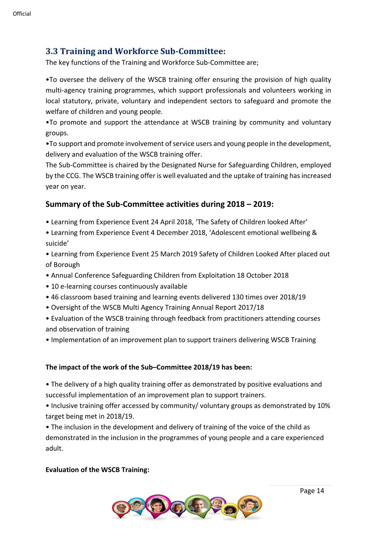## **3.3 Training and Workforce Sub-Committee:**

The key functions of the Training and Workforce Sub-Committee are;

•To oversee the delivery of the WSCB training offer ensuring the provision of high quality multi-agency training programmes, which support professionals and volunteers working in local statutory, private, voluntary and independent sectors to safeguard and promote the welfare of children and young people.

•To promote and support the attendance at WSCB training by community and voluntary groups.

•To support and promote involvement of service users and young people in the development, delivery and evaluation of the WSCB training offer.

The Sub-Committee is chaired by the Designated Nurse for Safeguarding Children, employed by the CCG. The WSCB training offer is well evaluated and the uptake of training has increased year on year.

## **Summary of the Sub-Committee activities during 2018 – 2019:**

- Learning from Experience Event 24 April 2018, 'The Safety of Children looked After'
- Learning from Experience Event 4 December 2018, 'Adolescent emotional wellbeing & suicide'
- Learning from Experience Event 25 March 2019 Safety of Children Looked After placed out of Borough
- Annual Conference Safeguarding Children from Exploitation 18 October 2018
- 10 e-learning courses continuously available
- 46 classroom based training and learning events delivered 130 times over 2018/19
- Oversight of the WSCB Multi Agency Training Annual Report 2017/18
- Evaluation of the WSCB training through feedback from practitioners attending courses and observation of training
- Implementation of an improvement plan to support trainers delivering WSCB Training

### **The impact of the work of the Sub–Committee 2018/19 has been:**

- The delivery of a high quality training offer as demonstrated by positive evaluations and successful implementation of an improvement plan to support trainers.
- Inclusive training offer accessed by community/ voluntary groups as demonstrated by 10% target being met in 2018/19.

• The inclusion in the development and delivery of training of the voice of the child as demonstrated in the inclusion in the programmes of young people and a care experienced adult.

### **Evaluation of the WSCB Training:**

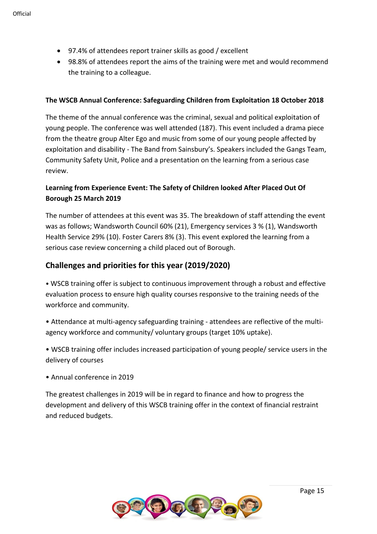- 97.4% of attendees report trainer skills as good / excellent
- 98.8% of attendees report the aims of the training were met and would recommend the training to a colleague.

### **The WSCB Annual Conference: Safeguarding Children from Exploitation 18 October 2018**

The theme of the annual conference was the criminal, sexual and political exploitation of young people. The conference was well attended (187). This event included a drama piece from the theatre group Alter Ego and music from some of our young people affected by exploitation and disability - The Band from Sainsbury's. Speakers included the Gangs Team, Community Safety Unit, Police and a presentation on the learning from a serious case review.

## **Learning from Experience Event: The Safety of Children looked After Placed Out Of Borough 25 March 2019**

The number of attendees at this event was 35. The breakdown of staff attending the event was as follows; Wandsworth Council 60% (21), Emergency services 3 % (1), Wandsworth Health Service 29% (10). Foster Carers 8% (3). This event explored the learning from a serious case review concerning a child placed out of Borough.

## **Challenges and priorities for this year (2019/2020)**

• WSCB training offer is subject to continuous improvement through a robust and effective evaluation process to ensure high quality courses responsive to the training needs of the workforce and community.

• Attendance at multi-agency safeguarding training - attendees are reflective of the multiagency workforce and community/ voluntary groups (target 10% uptake).

• WSCB training offer includes increased participation of young people/ service users in the delivery of courses

• Annual conference in 2019

The greatest challenges in 2019 will be in regard to finance and how to progress the development and delivery of this WSCB training offer in the context of financial restraint and reduced budgets.

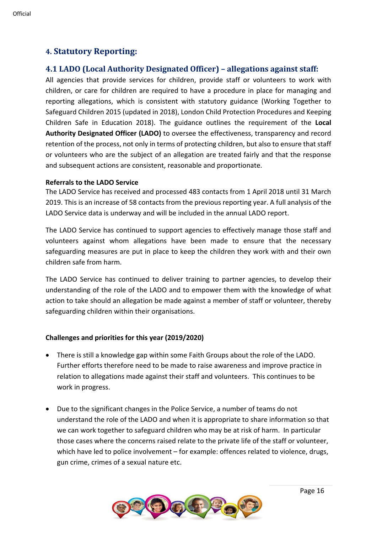## **4. Statutory Reporting:**

## **4.1 LADO (Local Authority Designated Officer) – allegations against staff:**

All agencies that provide services for children, provide staff or volunteers to work with children, or care for children are required to have a procedure in place for managing and reporting allegations, which is consistent with statutory guidance (Working Together to Safeguard Children 2015 (updated in 2018), London Child Protection Procedures and Keeping Children Safe in Education 2018). The guidance outlines the requirement of the **Local Authority Designated Officer (LADO)** to oversee the effectiveness, transparency and record retention of the process, not only in terms of protecting children, but also to ensure that staff or volunteers who are the subject of an allegation are treated fairly and that the response and subsequent actions are consistent, reasonable and proportionate.

#### **Referrals to the LADO Service**

The LADO Service has received and processed 483 contacts from 1 April 2018 until 31 March 2019. This is an increase of 58 contacts from the previous reporting year. A full analysis of the LADO Service data is underway and will be included in the annual LADO report.

The LADO Service has continued to support agencies to effectively manage those staff and volunteers against whom allegations have been made to ensure that the necessary safeguarding measures are put in place to keep the children they work with and their own children safe from harm.

The LADO Service has continued to deliver training to partner agencies, to develop their understanding of the role of the LADO and to empower them with the knowledge of what action to take should an allegation be made against a member of staff or volunteer, thereby safeguarding children within their organisations.

### **Challenges and priorities for this year (2019/2020)**

- There is still a knowledge gap within some Faith Groups about the role of the LADO. Further efforts therefore need to be made to raise awareness and improve practice in relation to allegations made against their staff and volunteers. This continues to be work in progress.
- Due to the significant changes in the Police Service, a number of teams do not understand the role of the LADO and when it is appropriate to share information so that we can work together to safeguard children who may be at risk of harm. In particular those cases where the concerns raised relate to the private life of the staff or volunteer, which have led to police involvement – for example: offences related to violence, drugs, gun crime, crimes of a sexual nature etc.

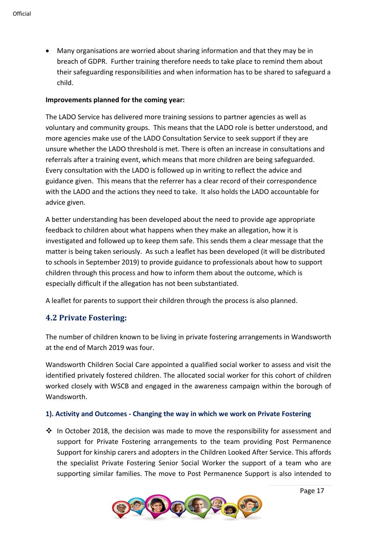• Many organisations are worried about sharing information and that they may be in breach of GDPR. Further training therefore needs to take place to remind them about their safeguarding responsibilities and when information has to be shared to safeguard a child.

#### **Improvements planned for the coming year:**

The LADO Service has delivered more training sessions to partner agencies as well as voluntary and community groups. This means that the LADO role is better understood, and more agencies make use of the LADO Consultation Service to seek support if they are unsure whether the LADO threshold is met. There is often an increase in consultations and referrals after a training event, which means that more children are being safeguarded. Every consultation with the LADO is followed up in writing to reflect the advice and guidance given. This means that the referrer has a clear record of their correspondence with the LADO and the actions they need to take. It also holds the LADO accountable for advice given.

A better understanding has been developed about the need to provide age appropriate feedback to children about what happens when they make an allegation, how it is investigated and followed up to keep them safe. This sends them a clear message that the matter is being taken seriously. As such a leaflet has been developed (it will be distributed to schools in September 2019) to provide guidance to professionals about how to support children through this process and how to inform them about the outcome, which is especially difficult if the allegation has not been substantiated.

A leaflet for parents to support their children through the process is also planned.

## **4.2 Private Fostering:**

The number of children known to be living in private fostering arrangements in Wandsworth at the end of March 2019 was four.

Wandsworth Children Social Care appointed a qualified social worker to assess and visit the identified privately fostered children. The allocated social worker for this cohort of children worked closely with WSCB and engaged in the awareness campaign within the borough of Wandsworth.

### **1). Activity and Outcomes - Changing the way in which we work on Private Fostering**

 $\dots$  In October 2018, the decision was made to move the responsibility for assessment and support for Private Fostering arrangements to the team providing Post Permanence Support for kinship carers and adopters in the Children Looked After Service. This affords the specialist Private Fostering Senior Social Worker the support of a team who are supporting similar families. The move to Post Permanence Support is also intended to

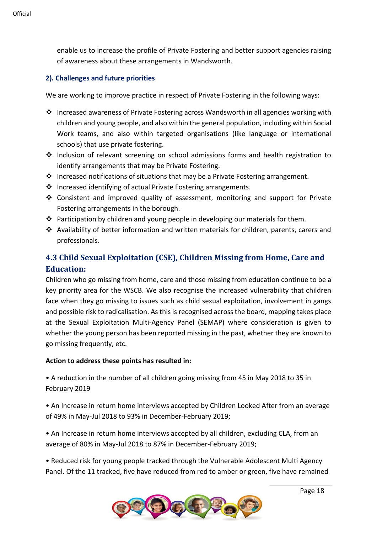enable us to increase the profile of Private Fostering and better support agencies raising of awareness about these arrangements in Wandsworth.

### **2). Challenges and future priorities**

We are working to improve practice in respect of Private Fostering in the following ways:

- ❖ Increased awareness of Private Fostering across Wandsworth in all agencies working with children and young people, and also within the general population, including within Social Work teams, and also within targeted organisations (like language or international schools) that use private fostering.
- ❖ Inclusion of relevant screening on school admissions forms and health registration to identify arrangements that may be Private Fostering.
- ❖ Increased notifications of situations that may be a Private Fostering arrangement.
- ❖ Increased identifying of actual Private Fostering arrangements.
- ❖ Consistent and improved quality of assessment, monitoring and support for Private Fostering arrangements in the borough.
- ❖ Participation by children and young people in developing our materials for them.
- ❖ Availability of better information and written materials for children, parents, carers and professionals.

## **4.3 Child Sexual Exploitation (CSE), Children Missing from Home, Care and Education:**

Children who go missing from home, care and those missing from education continue to be a key priority area for the WSCB. We also recognise the increased vulnerability that children face when they go missing to issues such as child sexual exploitation, involvement in gangs and possible risk to radicalisation. As this is recognised across the board, mapping takes place at the Sexual Exploitation Multi-Agency Panel (SEMAP) where consideration is given to whether the young person has been reported missing in the past, whether they are known to go missing frequently, etc.

### **Action to address these points has resulted in:**

• A reduction in the number of all children going missing from 45 in May 2018 to 35 in February 2019

• An Increase in return home interviews accepted by Children Looked After from an average of 49% in May-Jul 2018 to 93% in December-February 2019;

• An Increase in return home interviews accepted by all children, excluding CLA, from an average of 80% in May-Jul 2018 to 87% in December-February 2019;

• Reduced risk for young people tracked through the Vulnerable Adolescent Multi Agency Panel. Of the 11 tracked, five have reduced from red to amber or green, five have remained

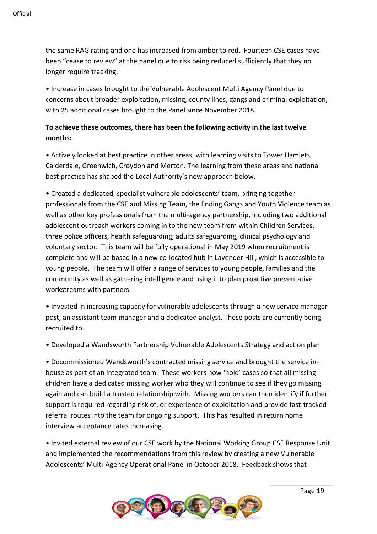the same RAG rating and one has increased from amber to red. Fourteen CSE cases have been "cease to review" at the panel due to risk being reduced sufficiently that they no longer require tracking.

• Increase in cases brought to the Vulnerable Adolescent Multi Agency Panel due to concerns about broader exploitation, missing, county lines, gangs and criminal exploitation, with 25 additional cases brought to the Panel since November 2018.

## **To achieve these outcomes, there has been the following activity in the last twelve months:**

• Actively looked at best practice in other areas, with learning visits to Tower Hamlets, Calderdale, Greenwich, Croydon and Merton. The learning from these areas and national best practice has shaped the Local Authority's new approach below.

• Created a dedicated, specialist vulnerable adolescents' team, bringing together professionals from the CSE and Missing Team, the Ending Gangs and Youth Violence team as well as other key professionals from the multi-agency partnership, including two additional adolescent outreach workers coming in to the new team from within Children Services, three police officers, health safeguarding, adults safeguarding, clinical psychology and voluntary sector. This team will be fully operational in May 2019 when recruitment is complete and will be based in a new co-located hub in Lavender Hill, which is accessible to young people. The team will offer a range of services to young people, families and the community as well as gathering intelligence and using it to plan proactive preventative workstreams with partners.

• Invested in increasing capacity for vulnerable adolescents through a new service manager post, an assistant team manager and a dedicated analyst. These posts are currently being recruited to.

• Developed a Wandsworth Partnership Vulnerable Adolescents Strategy and action plan.

• Decommissioned Wandsworth's contracted missing service and brought the service inhouse as part of an integrated team. These workers now 'hold' cases so that all missing children have a dedicated missing worker who they will continue to see if they go missing again and can build a trusted relationship with. Missing workers can then identify if further support is required regarding risk of, or experience of exploitation and provide fast-tracked referral routes into the team for ongoing support. This has resulted in return home interview acceptance rates increasing.

• Invited external review of our CSE work by the National Working Group CSE Response Unit and implemented the recommendations from this review by creating a new Vulnerable Adolescents' Multi-Agency Operational Panel in October 2018. Feedback shows that

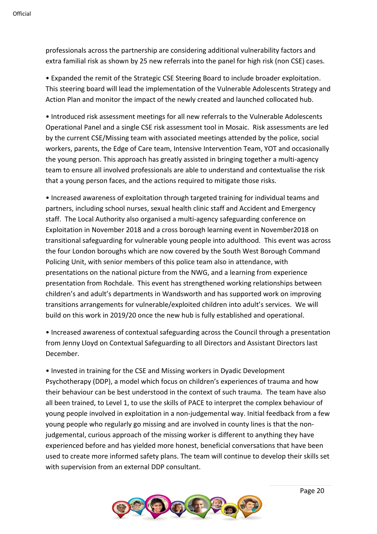professionals across the partnership are considering additional vulnerability factors and extra familial risk as shown by 25 new referrals into the panel for high risk (non CSE) cases.

• Expanded the remit of the Strategic CSE Steering Board to include broader exploitation. This steering board will lead the implementation of the Vulnerable Adolescents Strategy and Action Plan and monitor the impact of the newly created and launched collocated hub.

• Introduced risk assessment meetings for all new referrals to the Vulnerable Adolescents Operational Panel and a single CSE risk assessment tool in Mosaic. Risk assessments are led by the current CSE/Missing team with associated meetings attended by the police, social workers, parents, the Edge of Care team, Intensive Intervention Team, YOT and occasionally the young person. This approach has greatly assisted in bringing together a multi-agency team to ensure all involved professionals are able to understand and contextualise the risk that a young person faces, and the actions required to mitigate those risks.

• Increased awareness of exploitation through targeted training for individual teams and partners, including school nurses, sexual health clinic staff and Accident and Emergency staff. The Local Authority also organised a multi-agency safeguarding conference on Exploitation in November 2018 and a cross borough learning event in November2018 on transitional safeguarding for vulnerable young people into adulthood. This event was across the four London boroughs which are now covered by the South West Borough Command Policing Unit, with senior members of this police team also in attendance, with presentations on the national picture from the NWG, and a learning from experience presentation from Rochdale. This event has strengthened working relationships between children's and adult's departments in Wandsworth and has supported work on improving transitions arrangements for vulnerable/exploited children into adult's services. We will build on this work in 2019/20 once the new hub is fully established and operational.

• Increased awareness of contextual safeguarding across the Council through a presentation from Jenny Lloyd on Contextual Safeguarding to all Directors and Assistant Directors last December.

• Invested in training for the CSE and Missing workers in Dyadic Development Psychotherapy (DDP), a model which focus on children's experiences of trauma and how their behaviour can be best understood in the context of such trauma. The team have also all been trained, to Level 1, to use the skills of PACE to interpret the complex behaviour of young people involved in exploitation in a non-judgemental way. Initial feedback from a few young people who regularly go missing and are involved in county lines is that the nonjudgemental, curious approach of the missing worker is different to anything they have experienced before and has yielded more honest, beneficial conversations that have been used to create more informed safety plans. The team will continue to develop their skills set with supervision from an external DDP consultant.

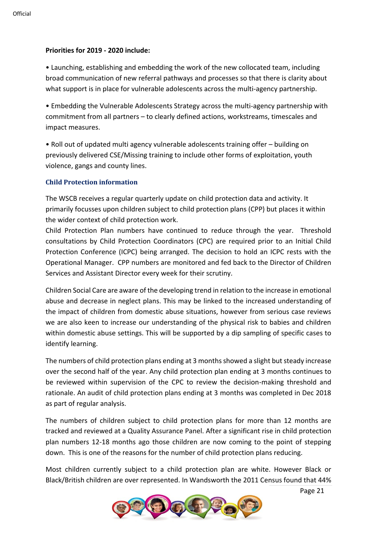### **Priorities for 2019 - 2020 include:**

• Launching, establishing and embedding the work of the new collocated team, including broad communication of new referral pathways and processes so that there is clarity about what support is in place for vulnerable adolescents across the multi-agency partnership.

• Embedding the Vulnerable Adolescents Strategy across the multi-agency partnership with commitment from all partners – to clearly defined actions, workstreams, timescales and impact measures.

• Roll out of updated multi agency vulnerable adolescents training offer – building on previously delivered CSE/Missing training to include other forms of exploitation, youth violence, gangs and county lines.

#### **Child Protection information**

The WSCB receives a regular quarterly update on child protection data and activity. It primarily focusses upon children subject to child protection plans (CPP) but places it within the wider context of child protection work.

Child Protection Plan numbers have continued to reduce through the year. Threshold consultations by Child Protection Coordinators (CPC) are required prior to an Initial Child Protection Conference (ICPC) being arranged. The decision to hold an ICPC rests with the Operational Manager. CPP numbers are monitored and fed back to the Director of Children Services and Assistant Director every week for their scrutiny.

Children Social Care are aware of the developing trend in relation to the increase in emotional abuse and decrease in neglect plans. This may be linked to the increased understanding of the impact of children from domestic abuse situations, however from serious case reviews we are also keen to increase our understanding of the physical risk to babies and children within domestic abuse settings. This will be supported by a dip sampling of specific cases to identify learning.

The numbers of child protection plans ending at 3 months showed a slight but steady increase over the second half of the year. Any child protection plan ending at 3 months continues to be reviewed within supervision of the CPC to review the decision-making threshold and rationale. An audit of child protection plans ending at 3 months was completed in Dec 2018 as part of regular analysis.

The numbers of children subject to child protection plans for more than 12 months are tracked and reviewed at a Quality Assurance Panel. After a significant rise in child protection plan numbers 12-18 months ago those children are now coming to the point of stepping down. This is one of the reasons for the number of child protection plans reducing.

Most children currently subject to a child protection plan are white. However Black or Black/British children are over represented. In Wandsworth the 2011 Census found that 44%

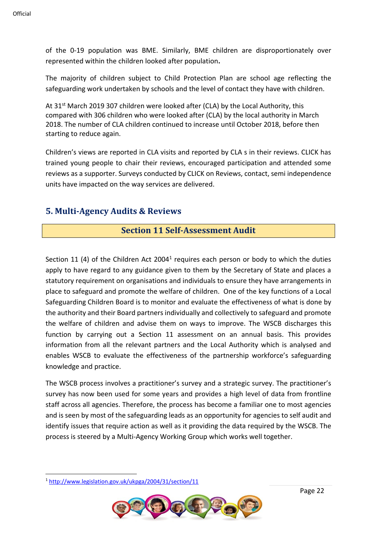of the 0-19 population was BME. Similarly, BME children are disproportionately over represented within the children looked after population**.** 

The majority of children subject to Child Protection Plan are school age reflecting the safeguarding work undertaken by schools and the level of contact they have with children.

At 31<sup>st</sup> March 2019 307 children were looked after (CLA) by the Local Authority, this compared with 306 children who were looked after (CLA) by the local authority in March 2018. The number of CLA children continued to increase until October 2018, before then starting to reduce again.

Children's views are reported in CLA visits and reported by CLA s in their reviews. CLICK has trained young people to chair their reviews, encouraged participation and attended some reviews as a supporter. Surveys conducted by CLICK on Reviews, contact, semi independence units have impacted on the way services are delivered.

## **5. Multi-Agency Audits & Reviews**

## **Section 11 Self-Assessment Audit**

Section 11 (4) of the Children Act 2004<sup>1</sup> requires each person or body to which the duties apply to have regard to any guidance given to them by the Secretary of State and places a statutory requirement on organisations and individuals to ensure they have arrangements in place to safeguard and promote the welfare of children. One of the key functions of a Local Safeguarding Children Board is to monitor and evaluate the effectiveness of what is done by the authority and their Board partners individually and collectively to safeguard and promote the welfare of children and advise them on ways to improve. The WSCB discharges this function by carrying out a Section 11 assessment on an annual basis. This provides information from all the relevant partners and the Local Authority which is analysed and enables WSCB to evaluate the effectiveness of the partnership workforce's safeguarding knowledge and practice.

The WSCB process involves a practitioner's survey and a strategic survey. The practitioner's survey has now been used for some years and provides a high level of data from frontline staff across all agencies. Therefore, the process has become a familiar one to most agencies and is seen by most of the safeguarding leads as an opportunity for agencies to self audit and identify issues that require action as well as it providing the data required by the WSCB. The process is steered by a Multi-Agency Working Group which works well together.

<sup>1</sup> <http://www.legislation.gov.uk/ukpga/2004/31/section/11>

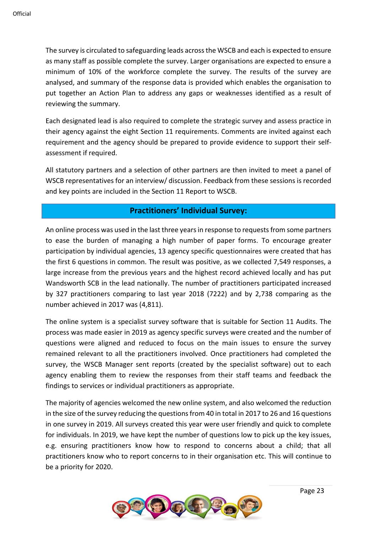The survey is circulated to safeguarding leads across the WSCB and each is expected to ensure as many staff as possible complete the survey. Larger organisations are expected to ensure a minimum of 10% of the workforce complete the survey. The results of the survey are analysed, and summary of the response data is provided which enables the organisation to put together an Action Plan to address any gaps or weaknesses identified as a result of reviewing the summary.

Each designated lead is also required to complete the strategic survey and assess practice in their agency against the eight Section 11 requirements. Comments are invited against each requirement and the agency should be prepared to provide evidence to support their selfassessment if required.

All statutory partners and a selection of other partners are then invited to meet a panel of WSCB representatives for an interview/ discussion. Feedback from these sessions is recorded and key points are included in the Section 11 Report to WSCB.

## **Practitioners' Individual Survey:**

An online process was used in the last three years in response to requests from some partners to ease the burden of managing a high number of paper forms. To encourage greater participation by individual agencies, 13 agency specific questionnaires were created that has the first 6 questions in common. The result was positive, as we collected 7,549 responses, a large increase from the previous years and the highest record achieved locally and has put Wandsworth SCB in the lead nationally. The number of practitioners participated increased by 327 practitioners comparing to last year 2018 (7222) and by 2,738 comparing as the number achieved in 2017 was (4,811).

The online system is a specialist survey software that is suitable for Section 11 Audits. The process was made easier in 2019 as agency specific surveys were created and the number of questions were aligned and reduced to focus on the main issues to ensure the survey remained relevant to all the practitioners involved. Once practitioners had completed the survey, the WSCB Manager sent reports (created by the specialist software) out to each agency enabling them to review the responses from their staff teams and feedback the findings to services or individual practitioners as appropriate.

The majority of agencies welcomed the new online system, and also welcomed the reduction in the size of the survey reducing the questions from 40 in total in 2017 to 26 and 16 questions in one survey in 2019. All surveys created this year were user friendly and quick to complete for individuals. In 2019, we have kept the number of questions low to pick up the key issues, e.g. ensuring practitioners know how to respond to concerns about a child; that all practitioners know who to report concerns to in their organisation etc. This will continue to be a priority for 2020.